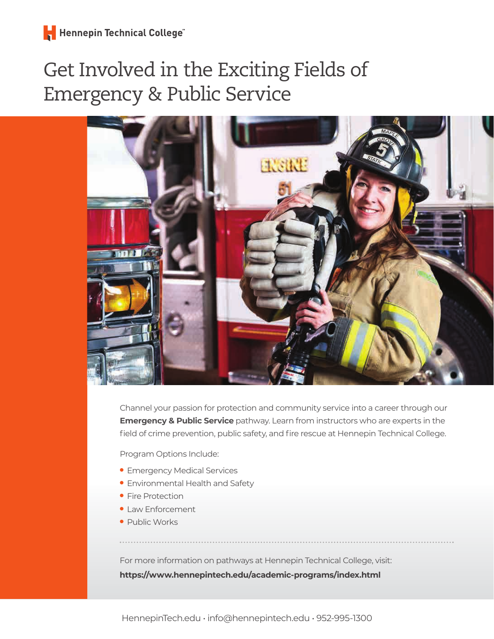## Get Involved in the Exciting Fields of Emergency & Public Service



Channel your passion for protection and community service into a career through our **Emergency & Public Service** pathway. Learn from instructors who are experts in the field of crime prevention, public safety, and fire rescue at Hennepin Technical College.

Program Options Include:

- Emergency Medical Services
- Environmental Health and Safety
- Fire Protection
- Law Enforcement
- Public Works

For more information on pathways at Hennepin Technical College, visit: **https://www.hennepintech.edu/academic-programs/index.html**

HennepinTech.edu • info@hennepintech.edu • 952-995-1300